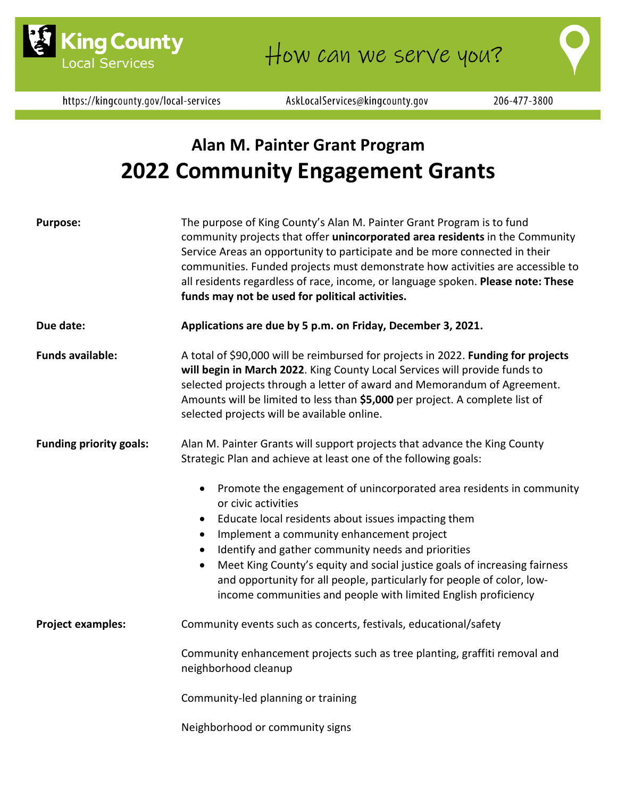

https://kingcounty.gov/local-services

AskLocalServices@kingcounty.gov

# **Alan M. Painter Grant Program 2022 Community Engagement Grants**

| <b>Purpose:</b>                | The purpose of King County's Alan M. Painter Grant Program is to fund<br>community projects that offer unincorporated area residents in the Community<br>Service Areas an opportunity to participate and be more connected in their<br>communities. Funded projects must demonstrate how activities are accessible to<br>all residents regardless of race, income, or language spoken. Please note: These<br>funds may not be used for political activities.                                                          |
|--------------------------------|-----------------------------------------------------------------------------------------------------------------------------------------------------------------------------------------------------------------------------------------------------------------------------------------------------------------------------------------------------------------------------------------------------------------------------------------------------------------------------------------------------------------------|
| Due date:                      | Applications are due by 5 p.m. on Friday, December 3, 2021.                                                                                                                                                                                                                                                                                                                                                                                                                                                           |
| <b>Funds available:</b>        | A total of \$90,000 will be reimbursed for projects in 2022. Funding for projects<br>will begin in March 2022. King County Local Services will provide funds to<br>selected projects through a letter of award and Memorandum of Agreement.<br>Amounts will be limited to less than \$5,000 per project. A complete list of<br>selected projects will be available online.                                                                                                                                            |
| <b>Funding priority goals:</b> | Alan M. Painter Grants will support projects that advance the King County<br>Strategic Plan and achieve at least one of the following goals:                                                                                                                                                                                                                                                                                                                                                                          |
|                                | Promote the engagement of unincorporated area residents in community<br>$\bullet$<br>or civic activities<br>Educate local residents about issues impacting them<br>$\bullet$<br>Implement a community enhancement project<br>Identify and gather community needs and priorities<br>Meet King County's equity and social justice goals of increasing fairness<br>$\bullet$<br>and opportunity for all people, particularly for people of color, low-<br>income communities and people with limited English proficiency |
| <b>Project examples:</b>       | Community events such as concerts, festivals, educational/safety                                                                                                                                                                                                                                                                                                                                                                                                                                                      |
|                                | Community enhancement projects such as tree planting, graffiti removal and<br>neighborhood cleanup                                                                                                                                                                                                                                                                                                                                                                                                                    |
|                                | Community-led planning or training                                                                                                                                                                                                                                                                                                                                                                                                                                                                                    |
|                                | Neighborhood or community signs                                                                                                                                                                                                                                                                                                                                                                                                                                                                                       |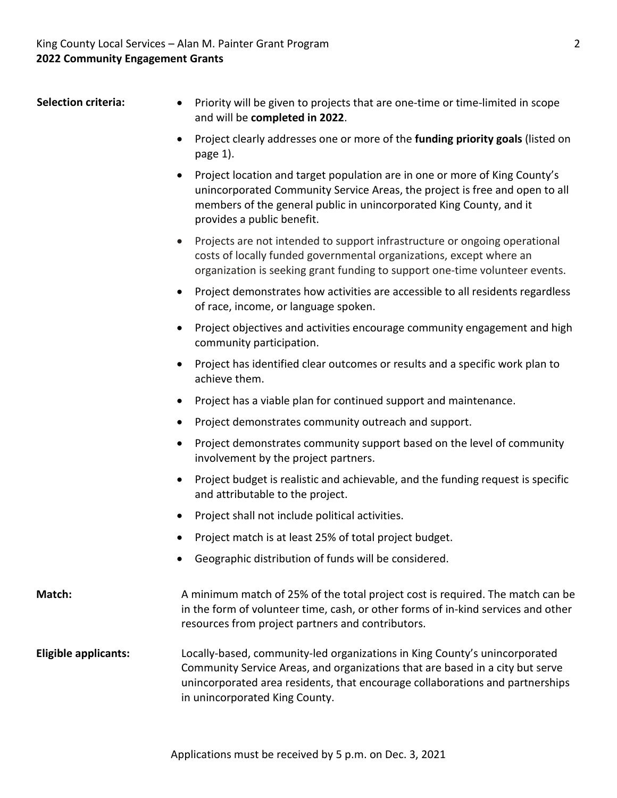- Selection criteria: Priority will be given to projects that are one-time or time-limited in scope and will be **completed in 2022**.
	- Project clearly addresses one or more of the **funding priority goals** (listed on page 1).
	- Project location and target population are in one or more of King County's unincorporated Community Service Areas, the project is free and open to all members of the general public in unincorporated King County, and it provides a public benefit.
	- Projects are not intended to support infrastructure or ongoing operational costs of locally funded governmental organizations, except where an organization is seeking grant funding to support one-time volunteer events.
	- Project demonstrates how activities are accessible to all residents regardless of race, income, or language spoken.
	- Project objectives and activities encourage community engagement and high community participation.
	- Project has identified clear outcomes or results and a specific work plan to achieve them.
	- Project has a viable plan for continued support and maintenance.
	- Project demonstrates community outreach and support.
	- Project demonstrates community support based on the level of community involvement by the project partners.
	- Project budget is realistic and achievable, and the funding request is specific and attributable to the project.
	- Project shall not include political activities.
	- Project match is at least 25% of total project budget.
	- Geographic distribution of funds will be considered.
- **Match:** A minimum match of 25% of the total project cost is required. The match can be in the form of volunteer time, cash, or other forms of in-kind services and other resources from project partners and contributors.
- **Eligible applicants:** Locally-based, community-led organizations in King County's unincorporated Community Service Areas, and organizations that are based in a city but serve unincorporated area residents, that encourage collaborations and partnerships in unincorporated King County.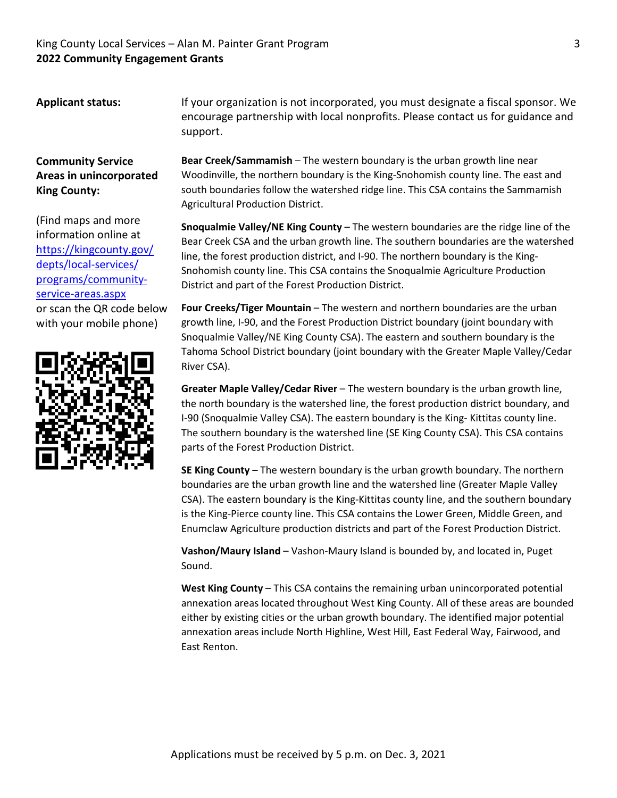### King County Local Services – Alan M. Painter Grant Program 3 **2022 Community Engagement Grants**

**Applicant status:** If your organization is not incorporated, you must designate a fiscal sponsor. We encourage partnership with local nonprofits. Please contact us for guidance and support.

### **Community Service Areas in unincorporated King County:**

(Find maps and more information online at [https://kingcounty.gov/](https://kingcounty.gov/depts/local-services/programs/community-service-areas.aspx) [depts/local-services/](https://kingcounty.gov/depts/local-services/programs/community-service-areas.aspx) [programs/community](https://kingcounty.gov/depts/local-services/programs/community-service-areas.aspx)[service-areas.aspx](https://kingcounty.gov/depts/local-services/programs/community-service-areas.aspx) or scan the QR code below with your mobile phone)



**Bear Creek/Sammamish** – The western boundary is the urban growth line near Woodinville, the northern boundary is the King-Snohomish county line. The east and south boundaries follow the watershed ridge line. This CSA contains the Sammamish Agricultural Production District.

**Snoqualmie Valley/NE King County** – The western boundaries are the ridge line of the Bear Creek CSA and the urban growth line. The southern boundaries are the watershed line, the forest production district, and I-90. The northern boundary is the King-Snohomish county line. This CSA contains the Snoqualmie Agriculture Production District and part of the Forest Production District.

**Four Creeks/Tiger Mountain** – The western and northern boundaries are the urban growth line, I-90, and the Forest Production District boundary (joint boundary with Snoqualmie Valley/NE King County CSA). The eastern and southern boundary is the Tahoma School District boundary (joint boundary with the Greater Maple Valley/Cedar River CSA).

**Greater Maple Valley/Cedar River** – The western boundary is the urban growth line, the north boundary is the watershed line, the forest production district boundary, and I-90 (Snoqualmie Valley CSA). The eastern boundary is the King- Kittitas county line. The southern boundary is the watershed line (SE King County CSA). This CSA contains parts of the Forest Production District.

**SE King County** – The western boundary is the urban growth boundary. The northern boundaries are the urban growth line and the watershed line (Greater Maple Valley CSA). The eastern boundary is the King-Kittitas county line, and the southern boundary is the King-Pierce county line. This CSA contains the Lower Green, Middle Green, and Enumclaw Agriculture production districts and part of the Forest Production District.

**Vashon/Maury Island** – Vashon-Maury Island is bounded by, and located in, Puget Sound.

**West King County** – This CSA contains the remaining urban unincorporated potential annexation areas located throughout West King County. All of these areas are bounded either by existing cities or the urban growth boundary. The identified major potential annexation areas include North Highline, West Hill, East Federal Way, Fairwood, and East Renton.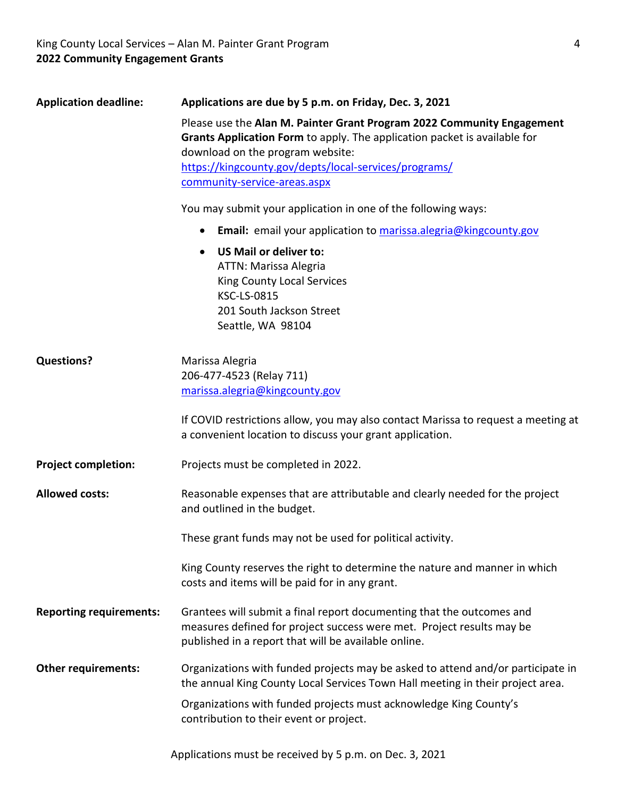| <b>Application deadline:</b>   | Applications are due by 5 p.m. on Friday, Dec. 3, 2021                                                                                                                                                                                                                           |
|--------------------------------|----------------------------------------------------------------------------------------------------------------------------------------------------------------------------------------------------------------------------------------------------------------------------------|
|                                | Please use the Alan M. Painter Grant Program 2022 Community Engagement<br>Grants Application Form to apply. The application packet is available for<br>download on the program website:<br>https://kingcounty.gov/depts/local-services/programs/<br>community-service-areas.aspx |
|                                | You may submit your application in one of the following ways:                                                                                                                                                                                                                    |
|                                | Email: email your application to marissa.alegria@kingcounty.gov                                                                                                                                                                                                                  |
|                                | US Mail or deliver to:<br>ATTN: Marissa Alegria<br><b>King County Local Services</b><br><b>KSC-LS-0815</b><br>201 South Jackson Street<br>Seattle, WA 98104                                                                                                                      |
| <b>Questions?</b>              | Marissa Alegria<br>206-477-4523 (Relay 711)<br>marissa.alegria@kingcounty.gov                                                                                                                                                                                                    |
|                                | If COVID restrictions allow, you may also contact Marissa to request a meeting at<br>a convenient location to discuss your grant application.                                                                                                                                    |
| <b>Project completion:</b>     | Projects must be completed in 2022.                                                                                                                                                                                                                                              |
| <b>Allowed costs:</b>          | Reasonable expenses that are attributable and clearly needed for the project<br>and outlined in the budget.                                                                                                                                                                      |
|                                | These grant funds may not be used for political activity.                                                                                                                                                                                                                        |
|                                | King County reserves the right to determine the nature and manner in which<br>costs and items will be paid for in any grant.                                                                                                                                                     |
| <b>Reporting requirements:</b> | Grantees will submit a final report documenting that the outcomes and<br>measures defined for project success were met. Project results may be<br>published in a report that will be available online.                                                                           |
| <b>Other requirements:</b>     | Organizations with funded projects may be asked to attend and/or participate in<br>the annual King County Local Services Town Hall meeting in their project area.                                                                                                                |
|                                | Organizations with funded projects must acknowledge King County's<br>contribution to their event or project.                                                                                                                                                                     |